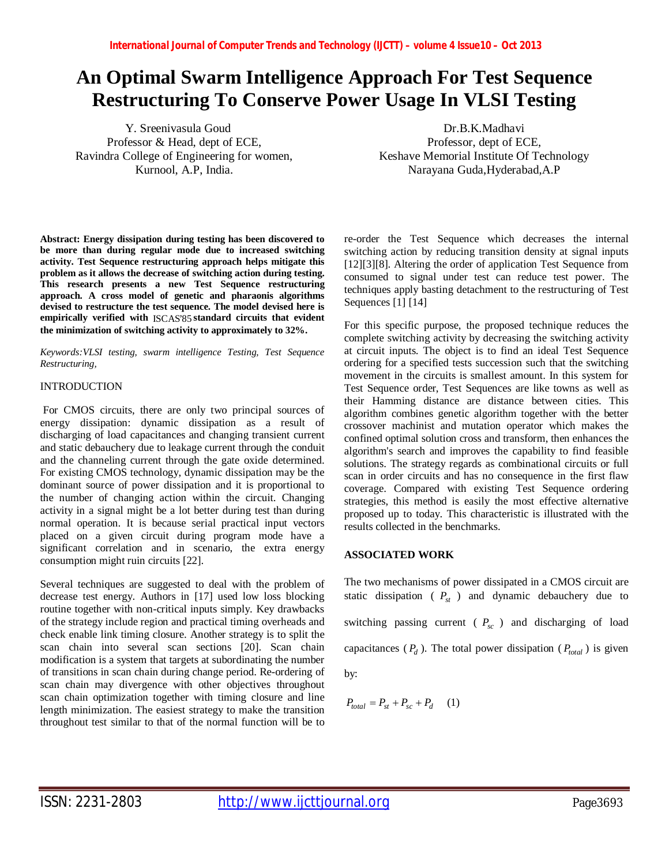# **An Optimal Swarm Intelligence Approach For Test Sequence Restructuring To Conserve Power Usage In VLSI Testing**

Y. Sreenivasula Goud Professor & Head, dept of ECE, Ravindra College of Engineering for women, Kurnool, A.P, India.

**Abstract: Energy dissipation during testing has been discovered to be more than during regular mode due to increased switching activity. Test Sequence restructuring approach helps mitigate this problem as it allows the decrease of switching action during testing. This research presents a new Test Sequence restructuring approach. A cross model of genetic and pharaonis algorithms devised to restructure the test sequence. The model devised here is empirically verified with** ISCAS'85 **standard circuits that evident the minimization of switching activity to approximately to 32%.**

*Keywords:VLSI testing, swarm intelligence Testing, Test Sequence Restructuring,* 

## INTRODUCTION

For CMOS circuits, there are only two principal sources of energy dissipation: dynamic dissipation as a result of discharging of load capacitances and changing transient current and static debauchery due to leakage current through the conduit and the channeling current through the gate oxide determined. For existing CMOS technology, dynamic dissipation may be the dominant source of power dissipation and it is proportional to the number of changing action within the circuit. Changing activity in a signal might be a lot better during test than during normal operation. It is because serial practical input vectors placed on a given circuit during program mode have a significant correlation and in scenario, the extra energy consumption might ruin circuits [22].

Several techniques are suggested to deal with the problem of decrease test energy. Authors in [17] used low loss blocking routine together with non-critical inputs simply. Key drawbacks of the strategy include region and practical timing overheads and check enable link timing closure. Another strategy is to split the scan chain into several scan sections [20]. Scan chain modification is a system that targets at subordinating the number of transitions in scan chain during change period. Re-ordering of scan chain may divergence with other objectives throughout scan chain optimization together with timing closure and line length minimization. The easiest strategy to make the transition throughout test similar to that of the normal function will be to

Dr.B.K.Madhavi Professor, dept of ECE, Keshave Memorial Institute Of Technology Narayana Guda,Hyderabad,A.P

re-order the Test Sequence which decreases the internal switching action by reducing transition density at signal inputs [12][3][8]. Altering the order of application Test Sequence from consumed to signal under test can reduce test power. The techniques apply basting detachment to the restructuring of Test Sequences [1] [14]

For this specific purpose, the proposed technique reduces the complete switching activity by decreasing the switching activity at circuit inputs. The object is to find an ideal Test Sequence ordering for a specified tests succession such that the switching movement in the circuits is smallest amount. In this system for Test Sequence order, Test Sequences are like towns as well as their Hamming distance are distance between cities. This algorithm combines genetic algorithm together with the better crossover machinist and mutation operator which makes the confined optimal solution cross and transform, then enhances the algorithm's search and improves the capability to find feasible solutions. The strategy regards as combinational circuits or full scan in order circuits and has no consequence in the first flaw coverage. Compared with existing Test Sequence ordering strategies, this method is easily the most effective alternative proposed up to today. This characteristic is illustrated with the results collected in the benchmarks.

# **ASSOCIATED WORK**

The two mechanisms of power dissipated in a CMOS circuit are static dissipation ( *Pst* ) and dynamic debauchery due to switching passing current ( $P_{sc}$ ) and discharging of load capacitances  $(P_d)$ . The total power dissipation  $(P_{total})$  is given by:

$$
P_{total} = P_{st} + P_{sc} + P_d \qquad (1)
$$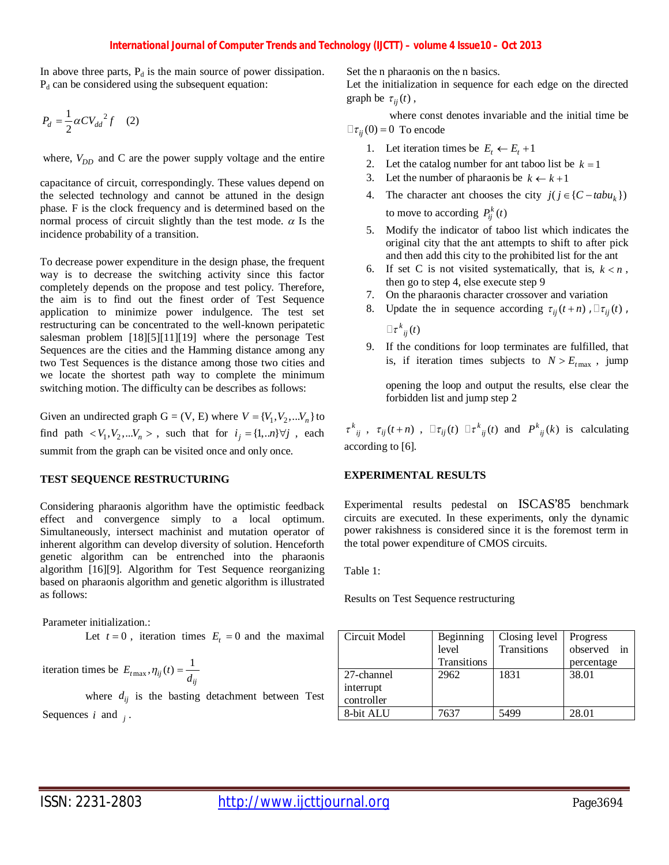In above three parts,  $P_d$  is the main source of power dissipation.  $P_d$  can be considered using the subsequent equation:

$$
P_d = \frac{1}{2}\alpha CV_{dd}^2 f \quad (2)
$$

where,  $V_{DD}$  and C are the power supply voltage and the entire

capacitance of circuit, correspondingly. These values depend on the selected technology and cannot be attuned in the design phase. F is the clock frequency and is determined based on the normal process of circuit slightly than the test mode.  $\alpha$  Is the incidence probability of a transition.

To decrease power expenditure in the design phase, the frequent way is to decrease the switching activity since this factor completely depends on the propose and test policy. Therefore, the aim is to find out the finest order of Test Sequence application to minimize power indulgence. The test set restructuring can be concentrated to the well-known peripatetic salesman problem [18][5][11][19] where the personage Test Sequences are the cities and the Hamming distance among any two Test Sequences is the distance among those two cities and we locate the shortest path way to complete the minimum switching motion. The difficulty can be describes as follows:

Given an undirected graph  $G = (V, E)$  where  $V = {V_1, V_2, ... V_n}$  to find path  $\langle V_1, V_2, \dots V_n \rangle$ , such that for  $i_j = \{1, \dots n\} \forall j$ , each summit from the graph can be visited once and only once.

#### **TEST SEQUENCE RESTRUCTURING**

Considering pharaonis algorithm have the optimistic feedback effect and convergence simply to a local optimum. Simultaneously, intersect machinist and mutation operator of inherent algorithm can develop diversity of solution. Henceforth genetic algorithm can be entrenched into the pharaonis algorithm [16][9]. Algorithm for Test Sequence reorganizing based on pharaonis algorithm and genetic algorithm is illustrated as follows:

Parameter initialization.:

Let  $t = 0$ , iteration times  $E_t = 0$  and the maximal

iteration times be  $E_{t_{\text{max}}}$ ,  $\eta_{ij}(t) = \frac{1}{d_{ij}}$  $E_{t\max}, \eta_{ij}(t) = \frac{1}{d}$ 

where  $d_{ij}$  is the basting detachment between Test Sequences  $i$  and  $j$ .

Set the n pharaonis on the n basics.

Let the initialization in sequence for each edge on the directed graph be  $\tau_{ii}(t)$ ,

where const denotes invariable and the initial time be  $\Box \tau_{ii}(0) = 0$  To encode

- 1. Let iteration times be  $E_t \leftarrow E_t + 1$
- 2. Let the catalog number for ant taboo list be  $k = 1$
- 3. Let the number of pharaonis be  $k \leftarrow k+1$
- 4. The character ant chooses the city  $j(j \in \{C tabu_k\})$ to move to according  $P_{ij}^k(t)$
- 5. Modify the indicator of taboo list which indicates the original city that the ant attempts to shift to after pick and then add this city to the prohibited list for the ant
- 6. If set C is not visited systematically, that is,  $k < n$ , then go to step 4, else execute step 9
- 7. On the pharaonis character crossover and variation
- 8. Update the in sequence according  $\tau_{ii}(t+n)$ ,  $\tau_{ii}(t)$ ,  $\Box \, \tau^k_{\;\;ij}(t)$
- 9. If the conditions for loop terminates are fulfilled, that is, if iteration times subjects to  $N > E_{t_{\text{max}}}$ , jump

opening the loop and output the results, else clear the forbidden list and jump step 2

 $\tau^{k}{}_{ij}$ ,  $\tau_{ij}(t+n)$ ,  $\Box \tau_{ij}(t)$   $\Box \tau^{k}{}_{ij}(t)$  and  $P^{k}{}_{ij}(k)$  is calculating according to [6].

### **EXPERIMENTAL RESULTS**

Experimental results pedestal on ISCAS'85 benchmark circuits are executed. In these experiments, only the dynamic power rakishness is considered since it is the foremost term in the total power expenditure of CMOS circuits.

Table 1:

Results on Test Sequence restructuring

| Circuit Model | Beginning   | Closing level | Progress       |
|---------------|-------------|---------------|----------------|
|               | level       | Transitions   | observed<br>in |
|               | Transitions |               | percentage     |
| 27-channel    | 2962        | 1831          | 38.01          |
| interrupt     |             |               |                |
| controller    |             |               |                |
| 8-bit ALU     | 7637        | 5499          | 28.01          |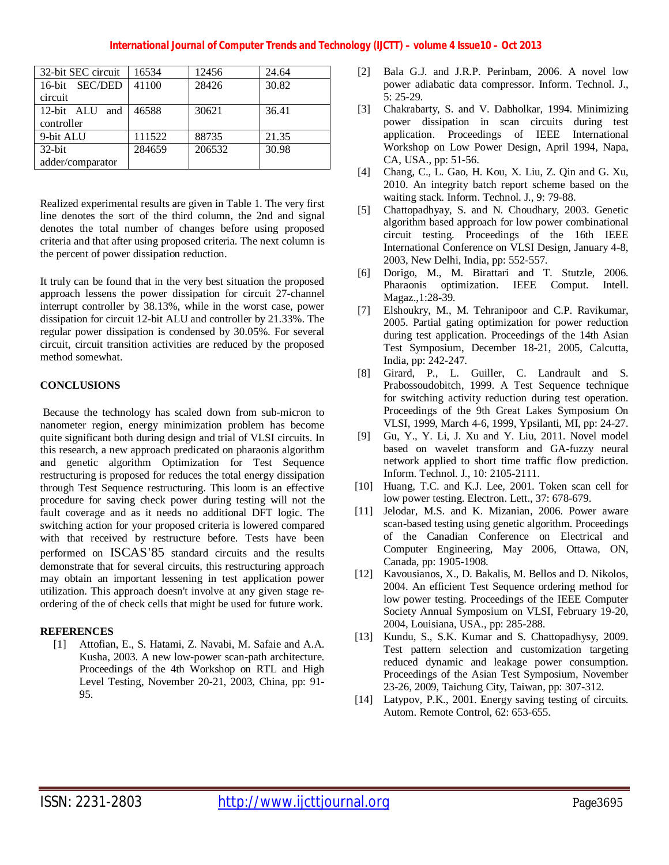| 32-bit SEC circuit | 16534  | 12456  | 24.64 |
|--------------------|--------|--------|-------|
| 16-bit SEC/DED     | 41100  | 28426  | 30.82 |
| circuit            |        |        |       |
| 12-bit ALU and     | 46588  | 30621  | 36.41 |
| controller         |        |        |       |
| 9-bit ALU          | 111522 | 88735  | 21.35 |
| $32$ -bit          | 284659 | 206532 | 30.98 |
| adder/comparator   |        |        |       |

Realized experimental results are given in Table 1. The very first line denotes the sort of the third column, the 2nd and signal denotes the total number of changes before using proposed criteria and that after using proposed criteria. The next column is the percent of power dissipation reduction.

It truly can be found that in the very best situation the proposed approach lessens the power dissipation for circuit 27-channel interrupt controller by 38.13%, while in the worst case, power dissipation for circuit 12-bit ALU and controller by 21.33%. The regular power dissipation is condensed by 30.05%. For several circuit, circuit transition activities are reduced by the proposed method somewhat.

# **CONCLUSIONS**

Because the technology has scaled down from sub-micron to nanometer region, energy minimization problem has become quite significant both during design and trial of VLSI circuits. In this research, a new approach predicated on pharaonis algorithm and genetic algorithm Optimization for Test Sequence restructuring is proposed for reduces the total energy dissipation through Test Sequence restructuring. This loom is an effective procedure for saving check power during testing will not the fault coverage and as it needs no additional DFT logic. The switching action for your proposed criteria is lowered compared with that received by restructure before. Tests have been performed on ISCAS'85 standard circuits and the results demonstrate that for several circuits, this restructuring approach may obtain an important lessening in test application power utilization. This approach doesn't involve at any given stage reordering of the of check cells that might be used for future work.

## **REFERENCES**

[1] Attofian, E., S. Hatami, Z. Navabi, M. Safaie and A.A. Kusha, 2003. A new low-power scan-path architecture. Proceedings of the 4th Workshop on RTL and High Level Testing, November 20-21, 2003, China, pp: 91- 95.

- [2] Bala G.J. and J.R.P. Perinbam, 2006. A novel low power adiabatic data compressor. Inform. Technol. J., 5: 25-29.
- [3] Chakrabarty, S. and V. Dabholkar, 1994. Minimizing power dissipation in scan circuits during test application. Proceedings of IEEE International Workshop on Low Power Design, April 1994, Napa, CA, USA., pp: 51-56.
- [4] Chang, C., L. Gao, H. Kou, X. Liu, Z. Qin and G. Xu, 2010. An integrity batch report scheme based on the waiting stack. Inform. Technol. J., 9: 79-88.
- [5] Chattopadhyay, S. and N. Choudhary, 2003. Genetic algorithm based approach for low power combinational circuit testing. Proceedings of the 16th IEEE International Conference on VLSI Design, January 4-8, 2003, New Delhi, India, pp: 552-557.
- [6] Dorigo, M., M. Birattari and T. Stutzle, 2006. Pharaonis optimization. IEEE Comput. Intell. Magaz.,1:28-39.
- [7] Elshoukry, M., M. Tehranipoor and C.P. Ravikumar, 2005. Partial gating optimization for power reduction during test application. Proceedings of the 14th Asian Test Symposium, December 18-21, 2005, Calcutta, India, pp: 242-247.
- [8] Girard, P., L. Guiller, C. Landrault and S. Prabossoudobitch, 1999. A Test Sequence technique for switching activity reduction during test operation. Proceedings of the 9th Great Lakes Symposium On VLSI, 1999, March 4-6, 1999, Ypsilanti, MI, pp: 24-27.
- [9] Gu, Y., Y. Li, J. Xu and Y. Liu, 2011. Novel model based on wavelet transform and GA-fuzzy neural network applied to short time traffic flow prediction. Inform. Technol. J., 10: 2105-2111.
- [10] Huang, T.C. and K.J. Lee, 2001. Token scan cell for low power testing. Electron. Lett., 37: 678-679.
- [11] Jelodar, M.S. and K. Mizanian, 2006. Power aware scan-based testing using genetic algorithm. Proceedings of the Canadian Conference on Electrical and Computer Engineering, May 2006, Ottawa, ON, Canada, pp: 1905-1908.
- [12] Kavousianos, X., D. Bakalis, M. Bellos and D. Nikolos, 2004. An efficient Test Sequence ordering method for low power testing. Proceedings of the IEEE Computer Society Annual Symposium on VLSI, February 19-20, 2004, Louisiana, USA., pp: 285-288.
- [13] Kundu, S., S.K. Kumar and S. Chattopadhysy, 2009. Test pattern selection and customization targeting reduced dynamic and leakage power consumption. Proceedings of the Asian Test Symposium, November 23-26, 2009, Taichung City, Taiwan, pp: 307-312.
- [14] Latypov, P.K., 2001. Energy saving testing of circuits. Autom. Remote Control, 62: 653-655.